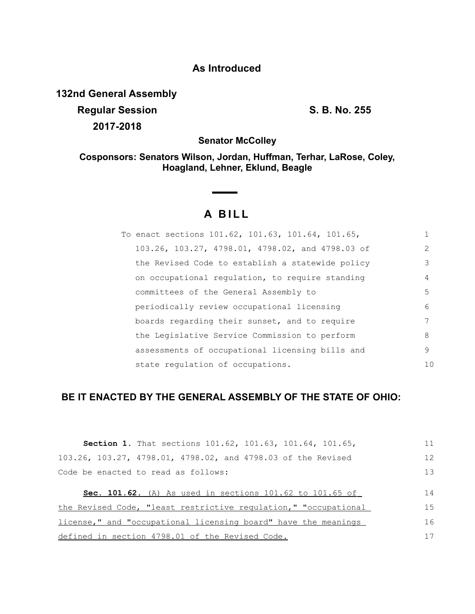## **As Introduced**

**132nd General Assembly**

**Regular Session S. B. No. 255 2017-2018**

**Senator McColley**

**Cosponsors: Senators Wilson, Jordan, Huffman, Terhar, LaRose, Coley, Hoagland, Lehner, Eklund, Beagle**

## **A B I L L**

<u>and the community</u>

| To enact sections 101.62, 101.63, 101.64, 101.65, |                |
|---------------------------------------------------|----------------|
| 103.26, 103.27, 4798.01, 4798.02, and 4798.03 of  | $\mathcal{L}$  |
| the Revised Code to establish a statewide policy  | 3              |
| on occupational requiation, to require standing   | 4              |
| committees of the General Assembly to             | .5             |
| periodically review occupational licensing        | 6              |
| boards regarding their sunset, and to require     |                |
| the Legislative Service Commission to perform     | 8              |
| assessments of occupational licensing bills and   | 9              |
| state regulation of occupations.                  | 1 <sub>0</sub> |

## **BE IT ENACTED BY THE GENERAL ASSEMBLY OF THE STATE OF OHIO:**

| <b>Section 1.</b> That sections 101.62, 101.63, 101.64, 101.65,     | 11 |
|---------------------------------------------------------------------|----|
| 103.26, 103.27, 4798.01, 4798.02, and 4798.03 of the Revised        | 12 |
| Code be enacted to read as follows:                                 | 13 |
| <b>Sec. 101.62.</b> (A) As used in sections $101.62$ to $101.65$ of | 14 |
| the Revised Code, "least restrictive regulation," "occupational     | 15 |
| license," and "occupational licensing board" have the meanings      | 16 |
| defined in section 4798.01 of the Revised Code.                     | 17 |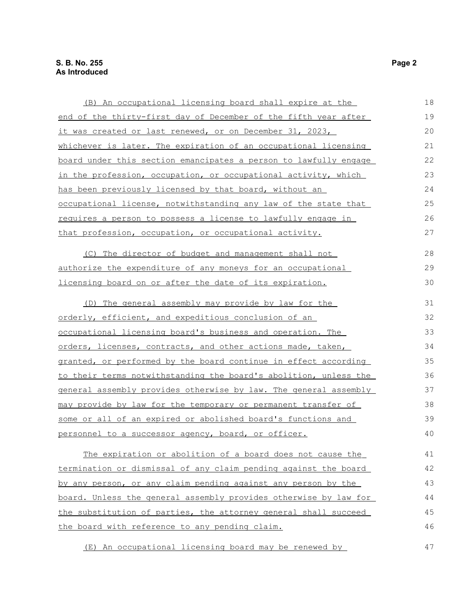| (B) An occupational licensing board shall expire at the          | 18 |
|------------------------------------------------------------------|----|
| end of the thirty-first day of December of the fifth year after  | 19 |
| it was created or last renewed, or on December 31, 2023,         | 20 |
| whichever is later. The expiration of an occupational licensing  | 21 |
| board under this section emancipates a person to lawfully engage | 22 |
| in the profession, occupation, or occupational activity, which   | 23 |
| has been previously licensed by that board, without an           | 24 |
| occupational license, notwithstanding any law of the state that  | 25 |
| requires a person to possess a license to lawfully engage in     | 26 |
| that profession, occupation, or occupational activity.           | 27 |
| (C) The director of budget and management shall not              | 28 |
| authorize the expenditure of any moneys for an occupational      | 29 |
| licensing board on or after the date of its expiration.          | 30 |
| (D) The general assembly may provide by law for the              | 31 |
| orderly, efficient, and expeditious conclusion of an             | 32 |
| occupational licensing board's business and operation. The       | 33 |
| orders, licenses, contracts, and other actions made, taken,      | 34 |
| granted, or performed by the board continue in effect according  | 35 |
| to their terms notwithstanding the board's abolition, unless the | 36 |
| general assembly provides otherwise by law. The general assembly | 37 |
| may provide by law for the temporary or permanent transfer of    | 38 |
| some or all of an expired or abolished board's functions and     | 39 |
| personnel to a successor agency, board, or officer.              | 40 |
| The expiration or abolition of a board does not cause the        | 41 |
| termination or dismissal of any claim pending against the board  | 42 |
| by any person, or any claim pending against any person by the    | 43 |
| board. Unless the general assembly provides otherwise by law for | 44 |
| the substitution of parties, the attorney general shall succeed  | 45 |
| the board with reference to any pending claim.                   | 46 |
| (E) An occupational licensing board may be renewed by            | 47 |

(E) An occupational licensing board may be renewed by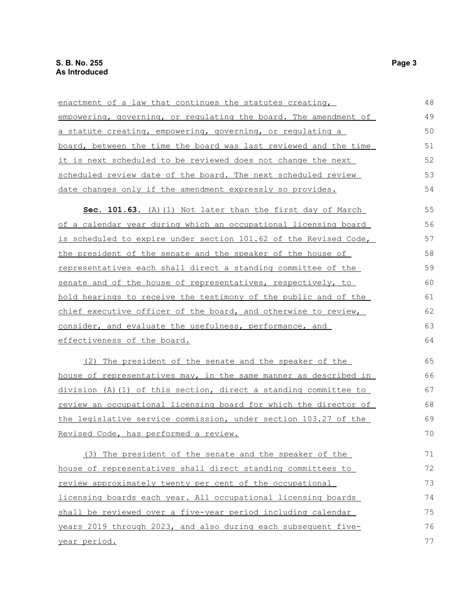| enactment of a law that continues the statutes creating,         | 48 |
|------------------------------------------------------------------|----|
| empowering, governing, or regulating the board. The amendment of | 49 |
| a statute creating, empowering, governing, or regulating a       | 50 |
| board, between the time the board was last reviewed and the time | 51 |
| it is next scheduled to be reviewed does not change the next     | 52 |
| scheduled review date of the board. The next scheduled review    | 53 |
| date changes only if the amendment expressly so provides.        | 54 |
| Sec. 101.63. (A) (1) Not later than the first day of March       | 55 |
| of a calendar year during which an occupational licensing board  | 56 |
| is scheduled to expire under section 101.62 of the Revised Code, | 57 |
| the president of the senate and the speaker of the house of      | 58 |
| representatives each shall direct a standing committee of the    | 59 |
| senate and of the house of representatives, respectively, to     | 60 |
| hold hearings to receive the testimony of the public and of the  | 61 |
| chief executive officer of the board, and otherwise to review,   | 62 |
| consider, and evaluate the usefulness, performance, and          | 63 |
| effectiveness of the board.                                      | 64 |
| (2) The president of the senate and the speaker of the           | 65 |
| house of representatives may, in the same manner as described in | 66 |
| division (A) (1) of this section, direct a standing committee to | 67 |
| review an occupational licensing board for which the director of | 68 |
| the legislative service commission, under section 103.27 of the  | 69 |
| Revised Code, has performed a review.                            | 70 |
| (3) The president of the senate and the speaker of the           | 71 |
| house of representatives shall direct standing committees to     | 72 |
| review approximately twenty per cent of the occupational         | 73 |
| licensing boards each year. All occupational licensing boards    | 74 |
| shall be reviewed over a five-year period including calendar     | 75 |
| years 2019 through 2023, and also during each subsequent five-   | 76 |
| year period.                                                     | 77 |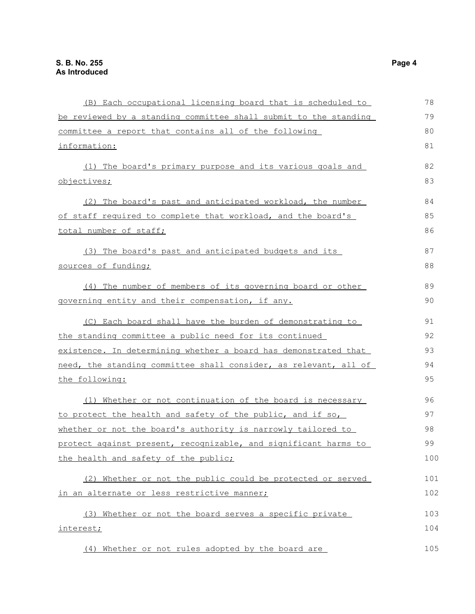| (B) Each occupational licensing board that is scheduled to       | 78  |
|------------------------------------------------------------------|-----|
| be reviewed by a standing committee shall submit to the standing | 79  |
| committee a report that contains all of the following            | 80  |
| information:                                                     | 81  |
| (1) The board's primary purpose and its various goals and        | 82  |
| objectives;                                                      | 83  |
| (2) The board's past and anticipated workload, the number        | 84  |
| of staff required to complete that workload, and the board's     | 85  |
| total number of staff;                                           | 86  |
| (3) The board's past and anticipated budgets and its             | 87  |
| sources of funding;                                              | 88  |
| (4) The number of members of its governing board or other        | 89  |
| governing entity and their compensation, if any.                 | 90  |
| (C) Each board shall have the burden of demonstrating to         | 91  |
| the standing committee a public need for its continued           | 92  |
| existence. In determining whether a board has demonstrated that  | 93  |
| need, the standing committee shall consider, as relevant, all of | 94  |
| the following:                                                   | 95  |
| (1) Whether or not continuation of the board is necessary        | 96  |
| to protect the health and safety of the public, and if so,       | 97  |
| whether or not the board's authority is narrowly tailored to     | 98  |
| protect against present, recognizable, and significant harms to  | 99  |
| the health and safety of the public;                             | 100 |
| (2) Whether or not the public could be protected or served       | 101 |
| in an alternate or less restrictive manner;                      | 102 |
| (3) Whether or not the board serves a specific private           | 103 |
| interest;                                                        | 104 |
| (4) Whether or not rules adopted by the board are                | 105 |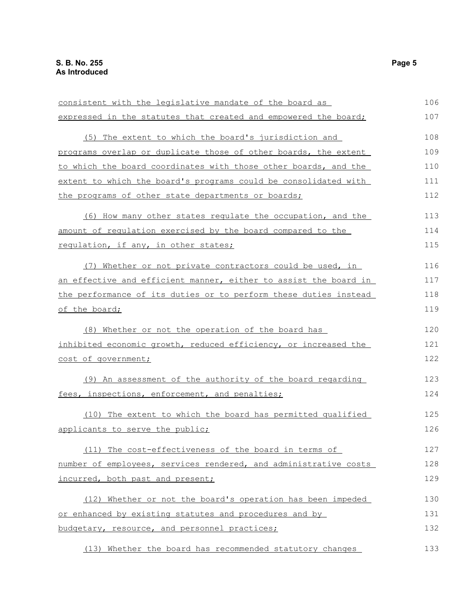| consistent with the legislative mandate of the board as          | 106 |
|------------------------------------------------------------------|-----|
| expressed in the statutes that created and empowered the board;  | 107 |
| (5) The extent to which the board's jurisdiction and             | 108 |
|                                                                  |     |
| programs overlap or duplicate those of other boards, the extent  | 109 |
| to which the board coordinates with those other boards, and the  | 110 |
| extent to which the board's programs could be consolidated with  | 111 |
| the programs of other state departments or boards;               | 112 |
| (6) How many other states regulate the occupation, and the       | 113 |
| amount of regulation exercised by the board compared to the      | 114 |
| regulation, if any, in other states;                             | 115 |
| (7) Whether or not private contractors could be used, in         | 116 |
| an effective and efficient manner, either to assist the board in | 117 |
| the performance of its duties or to perform these duties instead | 118 |
| of the board;                                                    | 119 |
| (8) Whether or not the operation of the board has                | 120 |
| inhibited economic growth, reduced efficiency, or increased the  | 121 |
| cost of government;                                              | 122 |
|                                                                  |     |
| (9) An assessment of the authority of the board regarding        | 123 |
| fees, inspections, enforcement, and penalties;                   | 124 |
| (10) The extent to which the board has permitted qualified       | 125 |
| applicants to serve the public;                                  | 126 |
| (11) The cost-effectiveness of the board in terms of             | 127 |
| number of employees, services rendered, and administrative costs | 128 |
| incurred, both past and present;                                 | 129 |
| (12) Whether or not the board's operation has been impeded       | 130 |
| or enhanced by existing statutes and procedures and by           | 131 |
| budgetary, resource, and personnel practices;                    | 132 |
| (13) Whether the board has recommended statutory changes         | 133 |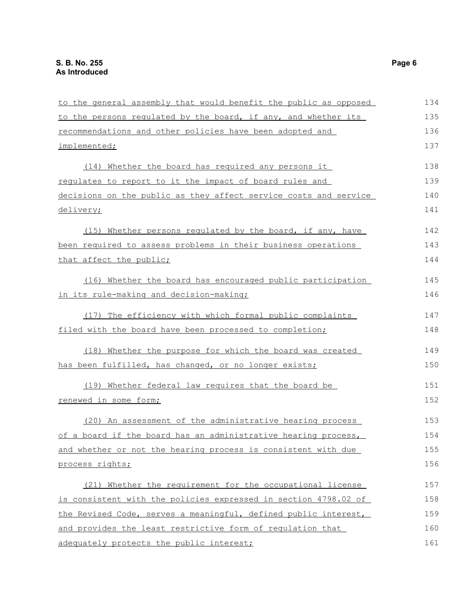| to the general assembly that would benefit the public as opposed | 134 |
|------------------------------------------------------------------|-----|
| to the persons regulated by the board, if any, and whether its   | 135 |
| recommendations and other policies have been adopted and         | 136 |
| implemented;                                                     | 137 |
| (14) Whether the board has required any persons it               | 138 |
| regulates to report to it the impact of board rules and          | 139 |
| decisions on the public as they affect service costs and service | 140 |
| delivery;                                                        | 141 |
| (15) Whether persons regulated by the board, if any, have        | 142 |
| been required to assess problems in their business operations    | 143 |
| that affect the public;                                          | 144 |
| (16) Whether the board has encouraged public participation       | 145 |
| in its rule-making and decision-making;                          | 146 |
| (17) The efficiency with which formal public complaints          | 147 |
| filed with the board have been processed to completion;          | 148 |
| (18) Whether the purpose for which the board was created         | 149 |
| has been fulfilled, has changed, or no longer exists;            | 150 |
| (19) Whether federal law requires that the board be              | 151 |
| renewed in some form;                                            | 152 |
| (20) An assessment of the administrative hearing process         | 153 |
| of a board if the board has an administrative hearing process,   | 154 |
| and whether or not the hearing process is consistent with due    | 155 |
| process rights;                                                  | 156 |
| (21) Whether the requirement for the occupational license        | 157 |
| is consistent with the policies expressed in section 4798.02 of  | 158 |
| the Revised Code, serves a meaningful, defined public interest,  | 159 |
| and provides the least restrictive form of regulation that       | 160 |
| adequately protects the public interest;                         | 161 |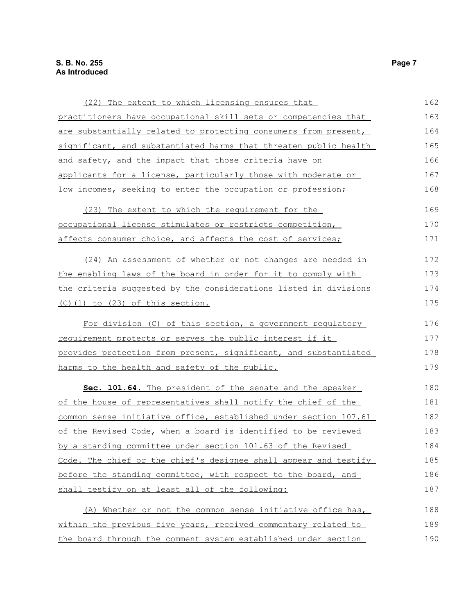| (22) The extent to which licensing ensures that                  | 162 |
|------------------------------------------------------------------|-----|
| practitioners have occupational skill sets or competencies that  | 163 |
| are substantially related to protecting consumers from present,  | 164 |
| significant, and substantiated harms that threaten public health | 165 |
| and safety, and the impact that those criteria have on           | 166 |
| applicants for a license, particularly those with moderate or    | 167 |
| low incomes, seeking to enter the occupation or profession;      | 168 |
| (23) The extent to which the requirement for the                 | 169 |
| occupational license stimulates or restricts competition,        | 170 |
| affects consumer choice, and affects the cost of services;       | 171 |
| (24) An assessment of whether or not changes are needed in       | 172 |
| the enabling laws of the board in order for it to comply with    | 173 |
| the criteria suggested by the considerations listed in divisions | 174 |
| $(C)$ $(1)$ to $(23)$ of this section.                           | 175 |
| For division (C) of this section, a government regulatory        | 176 |
| requirement protects or serves the public interest if it         | 177 |
| provides protection from present, significant, and substantiated | 178 |
| harms to the health and safety of the public.                    | 179 |
| Sec. 101.64. The president of the senate and the speaker         | 180 |
| of the house of representatives shall notify the chief of the    | 181 |
| common sense initiative office, established under section 107.61 | 182 |
| of the Revised Code, when a board is identified to be reviewed   | 183 |
| by a standing committee under section 101.63 of the Revised      | 184 |
| Code. The chief or the chief's designee shall appear and testify | 185 |
| before the standing committee, with respect to the board, and    | 186 |
| shall testify on at least all of the following:                  | 187 |
| (A) Whether or not the common sense initiative office has,       | 188 |
| within the previous five years, received commentary related to   | 189 |
| the board through the comment system established under section   | 190 |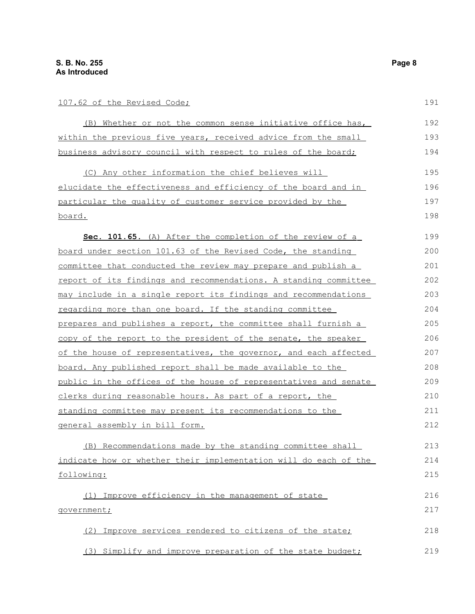## 107.62 of the Revised Code;

| (B) Whether or not the common sense initiative office has,       | 192 |
|------------------------------------------------------------------|-----|
| within the previous five years, received advice from the small   | 193 |
| business advisory council with respect to rules of the board;    | 194 |
| (C) Any other information the chief believes will                | 195 |
| elucidate the effectiveness and efficiency of the board and in   | 196 |
| particular the quality of customer service provided by the       | 197 |
| <u>board.</u>                                                    | 198 |
| Sec. 101.65. (A) After the completion of the review of a         | 199 |
| board under section 101.63 of the Revised Code, the standing     | 200 |
| committee that conducted the review may prepare and publish a    | 201 |
| report of its findings and recommendations. A standing committee | 202 |
| may include in a single report its findings and recommendations  | 203 |
| regarding more than one board. If the standing committee         | 204 |
| prepares and publishes a report, the committee shall furnish a   | 205 |
| copy of the report to the president of the senate, the speaker   | 206 |
| of the house of representatives, the governor, and each affected | 207 |
| board. Any published report shall be made available to the       | 208 |
| public in the offices of the house of representatives and senate | 209 |
| clerks during reasonable hours. As part of a report, the         | 210 |
| standing committee may present its recommendations to the        | 211 |
| general assembly in bill form.                                   | 212 |
| (B) Recommendations made by the standing committee shall         | 213 |
| indicate how or whether their implementation will do each of the | 214 |
| following:                                                       | 215 |
| (1) Improve efficiency in the management of state                | 216 |
| government;                                                      | 217 |
| Improve services rendered to citizens of the state;<br>(2)       | 218 |
| (3) Simplify and improve preparation of the state budget;        | 219 |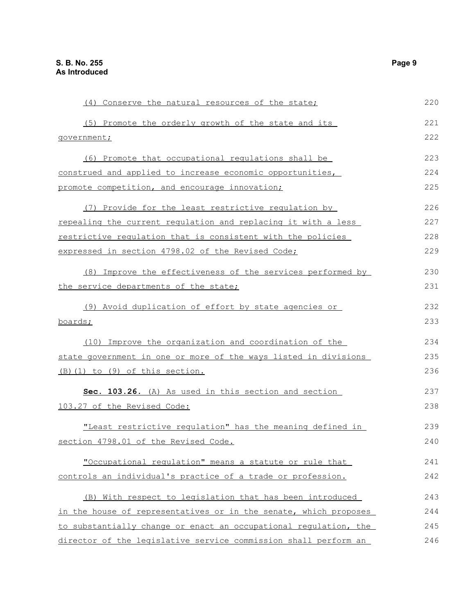| (4) Conserve the natural resources of the state;                 | 220 |
|------------------------------------------------------------------|-----|
| (5) Promote the orderly growth of the state and its              | 221 |
| government;                                                      | 222 |
| (6) Promote that occupational regulations shall be               | 223 |
| construed and applied to increase economic opportunities,        | 224 |
| promote competition, and encourage innovation;                   | 225 |
| (7) Provide for the least restrictive regulation by              | 226 |
| repealing the current regulation and replacing it with a less    | 227 |
| restrictive requlation that is consistent with the policies      | 228 |
| expressed in section 4798.02 of the Revised Code;                | 229 |
| (8) Improve the effectiveness of the services performed by       | 230 |
| the service departments of the state;                            | 231 |
| (9) Avoid duplication of effort by state agencies or             | 232 |
| boards;                                                          | 233 |
| (10) Improve the organization and coordination of the            | 234 |
| state government in one or more of the ways listed in divisions  | 235 |
| (B)(1) to (9) of this section.                                   | 236 |
| Sec. 103.26. (A) As used in this section and section             | 237 |
| 103.27 of the Revised Code:                                      | 238 |
| "Least restrictive regulation" has the meaning defined in        | 239 |
| section 4798.01 of the Revised Code.                             | 240 |
| "Occupational regulation" means a statute or rule that           | 241 |
| controls an individual's practice of a trade or profession.      | 242 |
| (B) With respect to legislation that has been introduced         | 243 |
| in the house of representatives or in the senate, which proposes | 244 |
| to substantially change or enact an occupational regulation, the | 245 |
| director of the legislative service commission shall perform an  | 246 |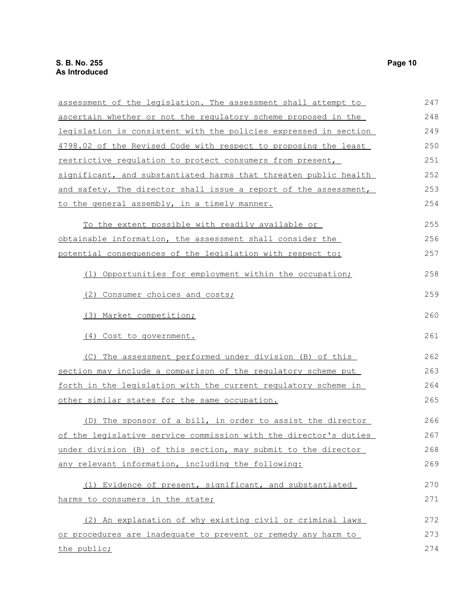| assessment of the legislation. The assessment shall attempt to          | 247 |
|-------------------------------------------------------------------------|-----|
| <u>ascertain whether or not the regulatory scheme proposed in the </u>  | 248 |
| legislation is consistent with the policies expressed in section        | 249 |
| 4798.02 of the Revised Code with respect to proposing the least         | 250 |
| restrictive regulation to protect consumers from present,               | 251 |
| significant, and substantiated harms that threaten public health        | 252 |
| <u>and safety. The director shall issue a report of the assessment,</u> | 253 |
| to the general assembly, in a timely manner.                            | 254 |
| To the extent possible with readily available or                        | 255 |
| <u>obtainable information, the assessment shall consider the</u>        | 256 |
| potential consequences of the legislation with respect to:              | 257 |
| (1) Opportunities for employment within the occupation;                 | 258 |
| (2) Consumer choices and costs;                                         | 259 |
| (3) Market competition;                                                 | 260 |
| (4) Cost to government.                                                 | 261 |
| (C) The assessment performed under division (B) of this                 | 262 |
| section may include a comparison of the regulatory scheme put           | 263 |
| forth in the legislation with the current regulatory scheme in          | 264 |
| <u>other similar states for the same occupation.</u>                    | 265 |
| (D) The sponsor of a bill, in order to assist the director              | 266 |
| of the legislative service commission with the director's duties        | 267 |
| under division (B) of this section, may submit to the director          | 268 |
| any relevant information, including the following:                      | 269 |
| (1) Evidence of present, significant, and substantiated                 | 270 |
| harms to consumers in the state;                                        | 271 |
| (2) An explanation of why existing civil or criminal laws               | 272 |
| or procedures are inadequate to prevent or remedy any harm to           | 273 |
| the public;                                                             | 274 |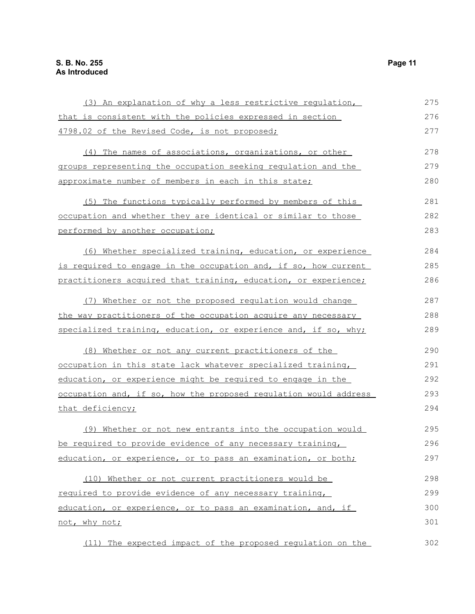| (3) An explanation of why a less restrictive regulation,         | 275 |
|------------------------------------------------------------------|-----|
| that is consistent with the policies expressed in section        | 276 |
| 4798.02 of the Revised Code, is not proposed;                    | 277 |
| (4) The names of associations, organizations, or other           | 278 |
| groups representing the occupation seeking regulation and the    | 279 |
| approximate number of members in each in this state;             | 280 |
| (5) The functions typically performed by members of this         | 281 |
| occupation and whether they are identical or similar to those    | 282 |
| performed by another occupation;                                 | 283 |
| (6) Whether specialized training, education, or experience       | 284 |
| is required to engage in the occupation and, if so, how current  | 285 |
| practitioners acquired that training, education, or experience;  | 286 |
| (7) Whether or not the proposed regulation would change          | 287 |
| the way practitioners of the occupation acquire any necessary    | 288 |
| specialized training, education, or experience and, if so, why;  | 289 |
| (8) Whether or not any current practitioners of the              | 290 |
| occupation in this state lack whatever specialized training,     | 291 |
| education, or experience might be required to engage in the      | 292 |
| occupation and, if so, how the proposed requlation would address | 293 |
| that deficiency;                                                 | 294 |
| (9) Whether or not new entrants into the occupation would        | 295 |
| be required to provide evidence of any necessary training,       | 296 |
| education, or experience, or to pass an examination, or both;    | 297 |
| (10) Whether or not current practitioners would be               | 298 |
| required to provide evidence of any necessary training,          | 299 |
| education, or experience, or to pass an examination, and, if     | 300 |
| not, why not;                                                    | 301 |
| (11) The expected impact of the proposed regulation on the       | 302 |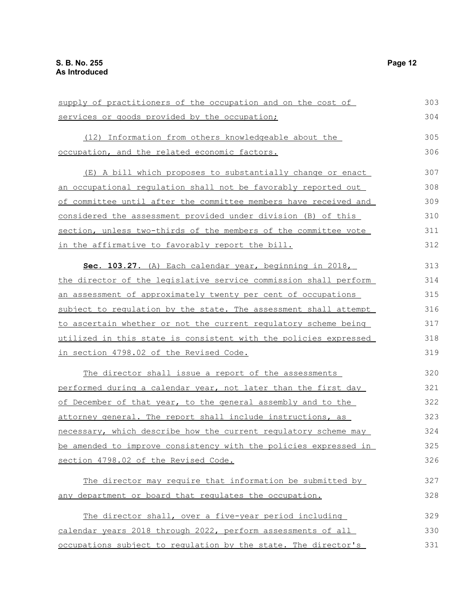supply of practitioners of the occupation and on the cost of services or goods provided by the occupation; (12) Information from others knowledgeable about the occupation, and the related economic factors. (E) A bill which proposes to substantially change or enact an occupational regulation shall not be favorably reported out of committee until after the committee members have received and considered the assessment provided under division (B) of this section, unless two-thirds of the members of the committee vote in the affirmative to favorably report the bill. **Sec. 103.27.** (A) Each calendar year, beginning in 2018, the director of the legislative service commission shall perform an assessment of approximately twenty per cent of occupations subject to regulation by the state. The assessment shall attempt to ascertain whether or not the current regulatory scheme being utilized in this state is consistent with the policies expressed in section 4798.02 of the Revised Code. The director shall issue a report of the assessments performed during a calendar year, not later than the first day of December of that year, to the general assembly and to the attorney general. The report shall include instructions, as necessary, which describe how the current regulatory scheme may be amended to improve consistency with the policies expressed in section 4798.02 of the Revised Code. The director may require that information be submitted by any department or board that regulates the occupation. The director shall, over a five-year period including calendar years 2018 through 2022, perform assessments of all occupations subject to regulation by the state. The director's 303 304 305 306 307 308 309 310 311 312 313 314 315 316 317 318 319 320 321 322 323 324 325 326 327 328 329 330 331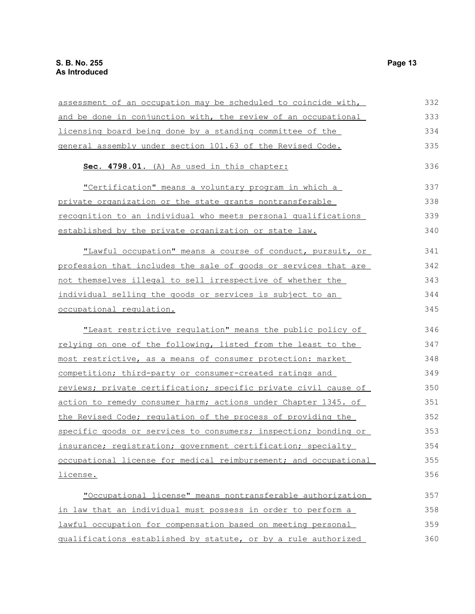| assessment of an occupation may be scheduled to coincide with,         | 332 |
|------------------------------------------------------------------------|-----|
| and be done in conjunction with, the review of an occupational         | 333 |
| licensing board being done by a standing committee of the              | 334 |
| general assembly under section 101.63 of the Revised Code.             | 335 |
| Sec. 4798.01. (A) As used in this chapter:                             | 336 |
| "Certification" means a voluntary program in which a                   | 337 |
| private organization or the state grants nontransferable               | 338 |
| recognition to an individual who meets personal qualifications         | 339 |
| established by the private organization or state law.                  | 340 |
| "Lawful occupation" means a course of conduct, pursuit, or             | 341 |
| profession that includes the sale of goods or services that are        | 342 |
| not themselves illegal to sell irrespective of whether the             | 343 |
| individual selling the goods or services is subject to an              | 344 |
| occupational regulation.                                               | 345 |
| "Least restrictive regulation" means the public policy of              | 346 |
| relying on one of the following, listed from the least to the          | 347 |
| most restrictive, as a means of consumer protection: market            | 348 |
| competition; third-party or consumer-created ratings and               | 349 |
| <u>reviews; private certification; specific private civil cause of</u> | 350 |
| action to remedy consumer harm; actions under Chapter 1345. of         | 351 |
| the Revised Code; regulation of the process of providing the           | 352 |
| specific goods or services to consumers; inspection; bonding or        | 353 |
| insurance; registration; government certification; specialty           | 354 |
| occupational license for medical reimbursement; and occupational       | 355 |
| <u>license.</u>                                                        | 356 |
| "Occupational license" means nontransferable authorization             | 357 |
| in law that an individual must possess in order to perform a           | 358 |
| lawful occupation for compensation based on meeting personal           | 359 |
| qualifications established by statute, or by a rule authorized         | 360 |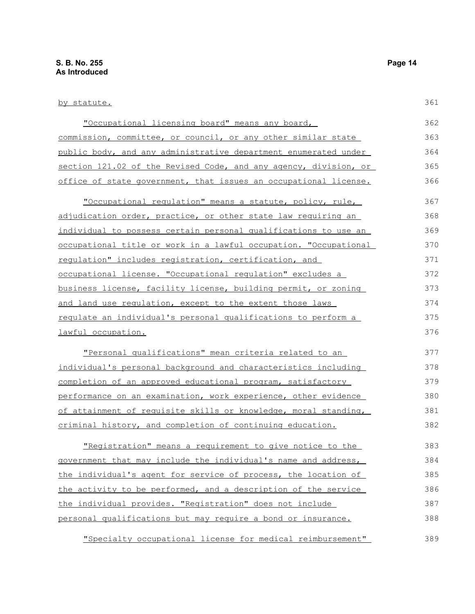| <u>by statute.</u>                                               | 361 |
|------------------------------------------------------------------|-----|
| "Occupational licensing board" means any board,                  | 362 |
| commission, committee, or council, or any other similar state    | 363 |
| public body, and any administrative department enumerated under  | 364 |
| section 121.02 of the Revised Code, and any agency, division, or | 365 |
| office of state government, that issues an occupational license. | 366 |
| "Occupational regulation" means a statute, policy, rule,         | 367 |
| adjudication order, practice, or other state law requiring an    | 368 |
| individual to possess certain personal qualifications to use an  | 369 |
| occupational title or work in a lawful occupation. "Occupational | 370 |
| requlation" includes registration, certification, and            | 371 |
| occupational license. "Occupational requlation" excludes a       | 372 |
| business license, facility license, building permit, or zoning   | 373 |
| and land use regulation, except to the extent those laws         | 374 |
| regulate an individual's personal qualifications to perform a    | 375 |
| lawful occupation.                                               | 376 |
| "Personal qualifications" mean criteria related to an            | 377 |
| individual's personal background and characteristics including   | 378 |
| completion of an approved educational program, satisfactory      | 379 |
| performance on an examination, work experience, other evidence   | 380 |
| of attainment of requisite skills or knowledge, moral standing,  | 381 |
| criminal history, and completion of continuing education.        | 382 |
| "Registration" means a requirement to give notice to the         | 383 |
| government that may include the individual's name and address,   | 384 |
| the individual's agent for service of process, the location of   | 385 |
| the activity to be performed, and a description of the service   | 386 |
| the individual provides. "Registration" does not include         | 387 |
| personal qualifications but may require a bond or insurance.     | 388 |

"Specialty occupational license for medical reimbursement" 389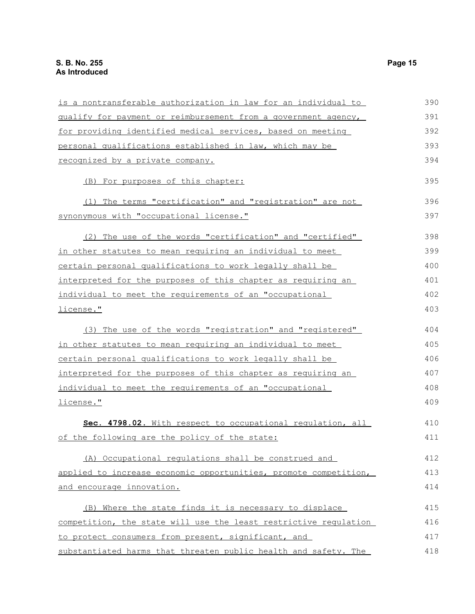| is a nontransferable authorization in law for an individual to   | 390 |
|------------------------------------------------------------------|-----|
| qualify for payment or reimbursement from a government agency,   | 391 |
| for providing identified medical services, based on meeting      | 392 |
| personal qualifications established in law, which may be         | 393 |
| recognized by a private company.                                 | 394 |
| (B) For purposes of this chapter:                                | 395 |
| (1) The terms "certification" and "registration" are not         | 396 |
| synonymous with "occupational license."                          | 397 |
| (2) The use of the words "certification" and "certified"         | 398 |
| in other statutes to mean requiring an individual to meet        | 399 |
| certain personal qualifications to work legally shall be         | 400 |
| interpreted for the purposes of this chapter as requiring an     | 401 |
| individual to meet the requirements of an "occupational          | 402 |
| license."                                                        | 403 |
| (3) The use of the words "registration" and "registered"         | 404 |
| in other statutes to mean requiring an individual to meet        | 405 |
| certain personal qualifications to work legally shall be         | 406 |
| interpreted for the purposes of this chapter as requiring an     | 407 |
| individual to meet the requirements of an "occupational          | 408 |
| license."                                                        | 409 |
| Sec. 4798.02. With respect to occupational requlation, all       | 410 |
| of the following are the policy of the state:                    | 411 |
| (A) Occupational regulations shall be construed and              | 412 |
| applied to increase economic opportunities, promote competition, | 413 |
| and encourage innovation.                                        | 414 |
| (B) Where the state finds it is necessary to displace            | 415 |
| competition, the state will use the least restrictive requlation | 416 |
| to protect consumers from present, significant, and              | 417 |
| substantiated harms that threaten public health and safety. The  | 418 |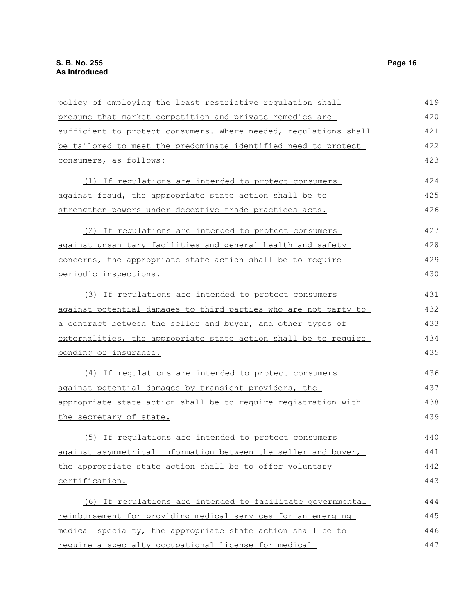| policy of employing the least restrictive regulation shall       | 419 |
|------------------------------------------------------------------|-----|
| presume that market competition and private remedies are         | 420 |
| sufficient to protect consumers. Where needed, requlations shall | 421 |
| be tailored to meet the predominate identified need to protect   | 422 |
| consumers, as follows:                                           | 423 |
| (1) If requlations are intended to protect consumers             | 424 |
| against fraud, the appropriate state action shall be to          | 425 |
| strengthen powers under deceptive trade practices acts.          | 426 |
| (2) If regulations are intended to protect consumers             | 427 |
| against unsanitary facilities and general health and safety      | 428 |
| concerns, the appropriate state action shall be to require       | 429 |
| periodic inspections.                                            | 430 |
| (3) If requlations are intended to protect consumers             | 431 |
| against potential damages to third parties who are not party to  | 432 |
| a contract between the seller and buyer, and other types of      | 433 |
| externalities, the appropriate state action shall be to require  | 434 |
| bonding or insurance.                                            | 435 |
| (4) If requlations are intended to protect consumers             | 436 |
| against potential damages by transient providers, the            | 437 |
| appropriate state action shall be to require registration with   | 438 |
| the secretary of state.                                          | 439 |
| (5) If regulations are intended to protect consumers             | 440 |
| against asymmetrical information between the seller and buyer,   | 441 |
| the appropriate state action shall be to offer voluntary         | 442 |
| certification.                                                   | 443 |
| (6) If regulations are intended to facilitate governmental       | 444 |
| reimbursement for providing medical services for an emerging     | 445 |
| medical specialty, the appropriate state action shall be to      | 446 |
| require a specialty occupational license for medical             | 447 |